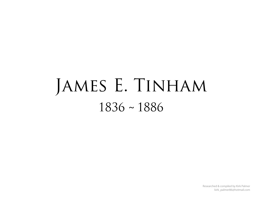## JAMES E. TINHAM 1836 ~ 1886

Researched & compiled by Kirk Palmer kirk\_palmer86@hotmail.com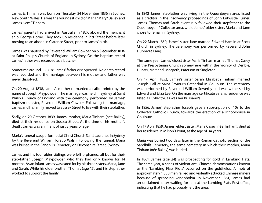James E. Tinham was born on Thursday, 24 November 1836 in Sydney, New South Wales. He was the youngest child of Maria "Mary" Bailey and James "Jem" Tinham.

James' parents had arrived in Australia in 1827, aboard the merchant ship George Horne. They took up residence in Pitt Street before later moving to an abode in Clarence Street, prior to James' birth.

James was baptised by Reverend William Cowper on 5 December 1836 at Saint Philip's Church of England in Sydney. On the baptism record James' father was recorded as a butcher.

Sometime around 1837-38 James' father disappeared. No death record was recorded and the marriage between his mother and father was never dissolved.

On 20 August 1838, James's mother re-married a calico printer by the name of Joseph Maypowder. The marriage was held in Sydney at Saint Philip's Church of England with the ceremony performed by James' baptism minister, Reverend William Cowper. Following the marriage, James and his family moved to Sussex Street to live with their stepfather.

Sadly, on 20 October 1839, James' mother, Maria Tinham (née Bailey), died at their residence on Sussex Street. At the time of his mother's death, James was an infant of just 3 years of age.

Maria's funeral was performed at Christ Church Saint Laurence in Sydney by the Reverend William Horatio Walsh. Following the funeral, Maria was buried in the Sandhills Cemetery on Devonshire Street, Sydney.

James and his four older siblings were left orphaned, all but for their step-father, Joseph Maypowder, who they had only known for 14 months. As an infant James was cared for by his three sisters, Maria, Jane and Sarah. While his older brother, Thomas (age 12), and his stepfather worked to support the family.

In 1842 James' stepfather was living in the Queanbeyan area, listed as a creditor in the insolvency proceedings of John Entwistle Turner. James, Thomas and Sarah eventually followed their stepfather to the Queanbeyan / Collector area, while James' older sisters Maria and Jane chose to remain in Sydney.

On 22 March 1850, James' sister Jane married Edward Hamlin at Scots Church in Sydney. The ceremony was performed by Reverend John Dunmore Lang.

The same year, James' eldest sister Maria Tinham married Thomas Casey at the Presbyterian Church somewhere within the vicinity of Denbie, Hunter, Maitland, Morpeth, Paterson or Singleton.

On 17 April 1852, James's sister Sarah Elizabeth Tinham married Joseph Hall at Saint Saviour's Cathedral in Goulburn. The ceremony was performed by Reverend William Sowerby and was witnessed by Edward and Eliza Lee. On the marriage certificate Sarah's residence was listed as Collector, as was her husband's.

In 1856, James' stepfather Joseph gave a subscription of 10s to the Collector Catholic Church, towards the erection of a schoolhouse in Goulburn.

On 17 April 1859, James' eldest sister, Maria Casey (née Tinham), died at her residence in Milson's Point, at the age of 34 years.

Maria was buried two days later in the Roman Catholic section of the Sandhills Cemetery, the same cemetery in which their mother, Maria Tinham (née Bailey) was buried.

In 1861, James (age 24) was prospecting for gold in Lambing Flats. The same year, a series of violent anti-Chinese demonstrations known as the 'Lambing Flats Riots' occurred on the goldfields. A mob of approximately 1,000 men rallied and violently attacked Chinese miners because of spreading xenophobia. In November 1861, James had an unclaimed letter waiting for him at the Lambing Flats Post office, indicating that he had probably left the area.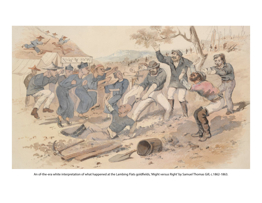

An of-the-era white interpretation of what happened at the Lambing Flats goldfields, 'Might versus Right' by Samuel Thomas Gill, c.1862-1863.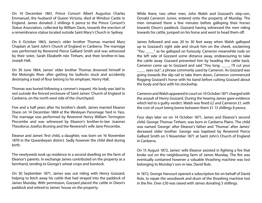On 14 December 1861, Prince Consort Albert Augustus Charles Emmanuel, the husband of Queen Victoria, died at Windsor Castle in England. James donated 2 shillings 6 pence to the Prince Consort's Statue Association, collected by William Davis, towards the erection of a remembrance statue located outside Saint Mary's Church in Sydney.

On 6 October 1863, James's older brother Thomas married Mary Chaplain at Saint John's Church of England in Canberra. The marriage was performed by Reverend Pierce Galliard Smith and was witnessed by their sister, Sarah Elizabeth née Tinham, and their brother-in-law, Joseph Hall.

On 30 June 1864, James' older brother Thomas drowned himself in the Molonglo River after getting his bullocks stuck and accidently destroying a load of flour belong to his employer, Henry Hall.

Thomas was buried following a coroner's inquest. His body was laid to rest outside the fenced enclosure of Saint James' Church of England in Canberra, on the north west side of the churchyard.

Five and a half years after his brother's death, James married Eleanor Dixon on 14 December 1869 at the Wesleyan Parsonage Yard in Yass. The marriage was performed by Reverend Henry William Torrington Pincombe and was witnessed by Eleanor's brother-in-law Joannes Theodorus Josefus Bruning and the Reverend's wife Jane Pincombe.

Eleanor and James' first child, a daughter, was born on 16 November 1870 in the Queanbeyan district. Sadly however the child died during birth.

The newlyweds took up residence in a second dwelling on the farm of Eleanor's parents. In exchange James contributed on the property as a farmhand, tending to George's wheat crops and livestock.

On 30 September 1871, James was out riding with Henry Gozzard, helping to fetch away his cattle that had strayed into the paddock of James Munday. With permission, Gozzard placed the cattle in Dixon's paddock and retired to James' house on the property.

While there, two other men, John Walsh and Gozzard's step-son, Donald Cameron Junior, entered onto the property of Munday. The men remained there a few minutes before galloping their horses towards Dixon's paddock. Gozzard having witnessed the men riding towards his cattle, jumped on his horse and went to head them off.

James followed and was 20 to 30 feet away when Walsh galloped up to Gozzard's right side and struck him on the cheek, exclaiming "You \_\_\_\_" as he galloped on furiously. Cameron meanwhile rode on the left side of Gozzard some distance away, endeavouring to take the cattle away. Gozzard prevented him by heading the cattle back. Cameron came up to Gozzard and said "You long \_\_\_\_, I'll cut your eyes out", a phrase commonly used by Cameron. As Gozzard was going towards the slip-rail to take them down, Cameron commenced flogging Gozzard's horse with his band before cutting Gozzard about the body and face with his stockwhip.

Cameron and Walsh appeared in court on 10 October 1871 charged with the assault of Henry Gozzard. During the hearing James gave evidence which led to a guilty verdict. Walsh was fined £2 and Cameron £1, with the cost of court being borne between them £1 13 shillings 8 pence.

Four days later on on 14 October 1871, James and Eleanor's second child, George Thomas Tinham, was born in Canberra Plains. The child was named 'George' after Eleanor's father and 'Thomas' after James' deceased older brother. George was baptised by Reverend Pierce Galliard Smith on 5 November 1871 at Saint John's Church of England in Canberra.

On 15 August 1872, James' wife Eleanor assisted in fighting a fire that broke out on the neighbouring farm of James Munday. The fire was eventually contained however a valuable thrashing machine was lost belonging to Munday's son-in-law, David Rule.

In 1872, George Harcourt opened a subscription list on behalf of David Rule, to repair the woodwork and drum of the thrashing machine lost in the fire. Over £30 was raised with James donating 5 shillings.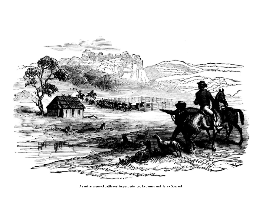

A similiar scene of cattle rustling experienced by James and Henry Gozzard.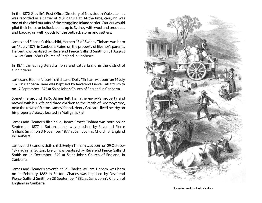In the 1872 Greville's Post Office Directory of New South Wales, James was recorded as a carrier at Mulligan's Flat. At the time, carrying was one of the chief pursuits of the struggling inland settler. Carriers would pilot their horse or bullock teams up to Sydney with wool and products, and back again with goods for the outback stores and settlers.

James and Eleanor's third child, Herbert "Sid" Sydney Tinham was born on 17 July 1873, in Canberra Plains, on the property of Eleanor's parents. Herbert was baptised by Reverend Pierce Galliard Smith on 31 August 1873 at Saint John's Church of England in Canberra.

In 1874, James registered a horse and cattle brand in the district of Ginninderra.

James and Eleanor's fourth child, Jane "Dolly" Tinham was born on 14 July 1875 in Canberra. Jane was baptised by Reverend Pierce Galliard Smith on 12 September 1875 at Saint John's Church of England in Canberra.

Sometime around 1875, James left his father-in-law's property and moved with his wife and three children to the Parish of Goorooyarroo, near the town of Sutton. James' friend, Henry Gozzard, lived nearby on his property *Ashton*, located in Mulligan's Flat.

James and Eleanor's fifth child, James Ernest Tinham was born on 22 September 1877 in Sutton. James was baptised by Reverend Pierce Galliard Smith on 3 November 1877 at Saint John's Church of England in Canberra.

James and Eleanor's sixth child, Evelyn Tinham was born on 29 October 1879 again in Sutton. Evelyn was baptised by Reverend Pierce Galliard Smith on 14 December 1879 at Saint John's Church of England, in Canberra.

James and Eleanor's seventh child, Charles William Tinham, was born on 14 February 1882 in Sutton. Charles was baptised by Reverend Pierce Galliard Smith on 28 September 1882 at Saint John's Church of England in Canberra.



A carrier and his bullock dray.